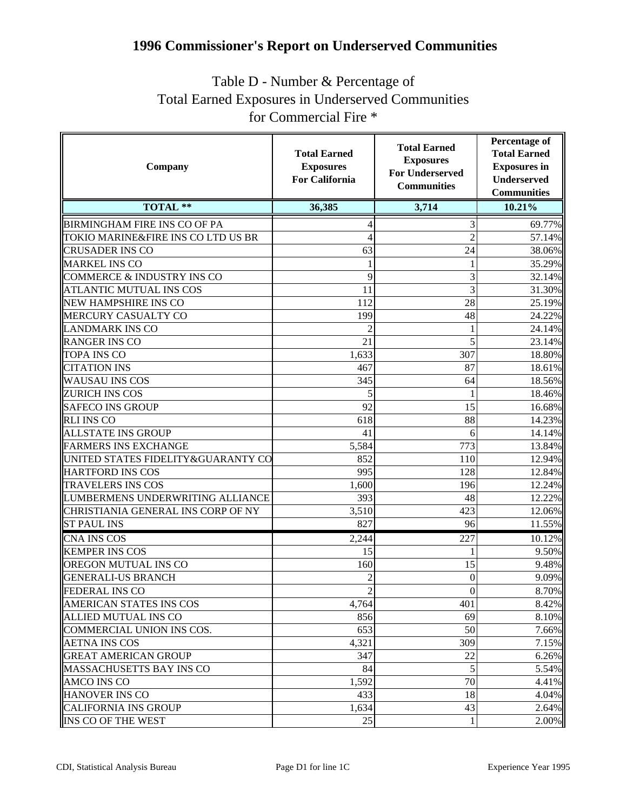## **1996 Commissioner's Report on Underserved Communities**

## Table D - Number & Percentage of Total Earned Exposures in Underserved Communities for Commercial Fire \*

| Company                               | <b>Total Earned</b><br><b>Exposures</b><br><b>For California</b> | <b>Total Earned</b><br><b>Exposures</b><br><b>For Underserved</b><br><b>Communities</b> | <b>Percentage of</b><br><b>Total Earned</b><br><b>Exposures</b> in<br><b>Underserved</b><br><b>Communities</b> |
|---------------------------------------|------------------------------------------------------------------|-----------------------------------------------------------------------------------------|----------------------------------------------------------------------------------------------------------------|
| TOTAL **                              | 36,385                                                           | 3,714                                                                                   | 10.21%                                                                                                         |
| <b>BIRMINGHAM FIRE INS CO OF PA</b>   | 4                                                                | 3                                                                                       | 69.77%                                                                                                         |
| TOKIO MARINE&FIRE INS CO LTD US BR    | 4                                                                | $\overline{2}$                                                                          | 57.14%                                                                                                         |
| <b>CRUSADER INS CO</b>                | 63                                                               | 24                                                                                      | 38.06%                                                                                                         |
| <b>MARKEL INS CO</b>                  | 1                                                                |                                                                                         | 35.29%                                                                                                         |
| <b>COMMERCE &amp; INDUSTRY INS CO</b> | 9                                                                | 3                                                                                       | 32.14%                                                                                                         |
| <b>ATLANTIC MUTUAL INS COS</b>        | 11                                                               | 3                                                                                       | 31.30%                                                                                                         |
| <b>NEW HAMPSHIRE INS CO</b>           | 112                                                              | 28                                                                                      | 25.19%                                                                                                         |
| MERCURY CASUALTY CO                   | 199                                                              | 48                                                                                      | 24.22%                                                                                                         |
| <b>LANDMARK INS CO</b>                |                                                                  |                                                                                         | 24.14%                                                                                                         |
| <b>RANGER INS CO</b>                  | 21                                                               | 5                                                                                       | 23.14%                                                                                                         |
| <b>TOPA INS CO</b>                    | 1,633                                                            | 307                                                                                     | 18.80%                                                                                                         |
| <b>CITATION INS</b>                   | 467                                                              | 87                                                                                      | 18.61%                                                                                                         |
| <b>WAUSAU INS COS</b>                 | 345                                                              | 64                                                                                      | 18.56%                                                                                                         |
| <b>ZURICH INS COS</b>                 | 5                                                                |                                                                                         | 18.46%                                                                                                         |
| <b>SAFECO INS GROUP</b>               | 92                                                               | 15                                                                                      | 16.68%                                                                                                         |
| <b>RLI INS CO</b>                     | 618                                                              | 88                                                                                      | 14.23%                                                                                                         |
| <b>ALLSTATE INS GROUP</b>             | 41                                                               | 6                                                                                       | 14.14%                                                                                                         |
| <b>FARMERS INS EXCHANGE</b>           | 5,584                                                            | 773                                                                                     | 13.84%                                                                                                         |
| UNITED STATES FIDELITY&GUARANTY CO    | 852                                                              | 110                                                                                     | 12.94%                                                                                                         |
| <b>HARTFORD INS COS</b>               | 995                                                              | 128                                                                                     | 12.84%                                                                                                         |
| <b>TRAVELERS INS COS</b>              | 1,600                                                            | 196                                                                                     | 12.24%                                                                                                         |
| LUMBERMENS UNDERWRITING ALLIANCE      | 393                                                              | 48                                                                                      | 12.22%                                                                                                         |
| CHRISTIANIA GENERAL INS CORP OF NY    | 3,510                                                            | 423                                                                                     | 12.06%                                                                                                         |
| <b>ST PAUL INS</b>                    | 827                                                              | 96                                                                                      | 11.55%                                                                                                         |
| CNA INS $\overline{\cos}$             | 2,244                                                            | 227                                                                                     | 10.12%                                                                                                         |
| <b>KEMPER INS COS</b>                 | 15                                                               |                                                                                         | 9.50%                                                                                                          |
| OREGON MUTUAL INS CO                  | 160                                                              | 15                                                                                      | 9.48%                                                                                                          |
| <b>GENERALI-US BRANCH</b>             |                                                                  | 0                                                                                       | 9.09%                                                                                                          |
| <b>FEDERAL INS CO</b>                 | $\overline{2}$                                                   | $\boldsymbol{0}$                                                                        | 8.70%                                                                                                          |
| <b>AMERICAN STATES INS COS</b>        | 4,764                                                            | 401                                                                                     | 8.42%                                                                                                          |
| <b>ALLIED MUTUAL INS CO</b>           | 856                                                              | 69                                                                                      | 8.10%                                                                                                          |
| COMMERCIAL UNION INS COS.             | 653                                                              | 50                                                                                      | 7.66%                                                                                                          |
| <b>AETNA INS COS</b>                  | 4,321                                                            | 309                                                                                     | 7.15%                                                                                                          |
| <b>GREAT AMERICAN GROUP</b>           | 347                                                              | 22                                                                                      | 6.26%                                                                                                          |
| <b>MASSACHUSETTS BAY INS CO</b>       | 84                                                               | 5                                                                                       | 5.54%                                                                                                          |
| AMCO INS CO                           | 1,592                                                            | 70                                                                                      | 4.41%                                                                                                          |
| <b>HANOVER INS CO</b>                 | 433                                                              | 18                                                                                      | 4.04%                                                                                                          |
| <b>CALIFORNIA INS GROUP</b>           | 1,634                                                            | 43                                                                                      | 2.64%                                                                                                          |
| INS CO OF THE WEST                    | 25                                                               | 1                                                                                       | 2.00%                                                                                                          |